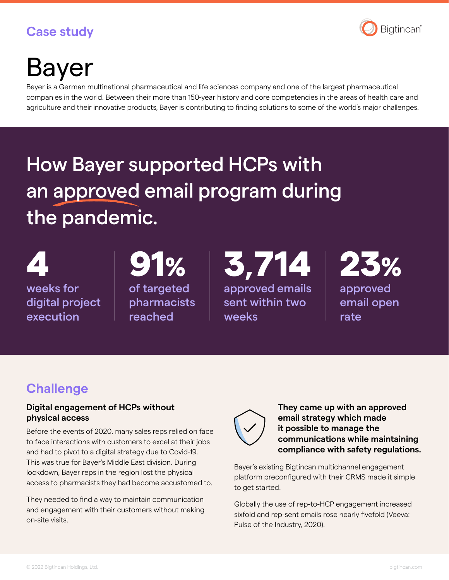### **Case study**



# Bayer

Bayer is a German multinational pharmaceutical and life sciences company and one of the largest pharmaceutical companies in the world. Between their more than 150-year history and core competencies in the areas of health care and agriculture and their innovative products, Bayer is contributing to finding solutions to some of the world's major challenges.

## How Bayer supported HCPs with an approved email program during the pandemic.

weeks for digital project execution

of targeted pharmacists reached

 $91\%$  3,714 approved emails sent within two weeks



approved email open rate

## **Challenge**

#### **Digital engagement of HCPs without physical access**

Before the events of 2020, many sales reps relied on face to face interactions with customers to excel at their jobs and had to pivot to a digital strategy due to Covid-19. This was true for Bayer's Middle East division. During lockdown, Bayer reps in the region lost the physical access to pharmacists they had become accustomed to.

They needed to find a way to maintain communication and engagement with their customers without making on-site visits.



**They came up with an approved email strategy which made it possible to manage the communications while maintaining compliance with safety regulations.**

Bayer's existing Bigtincan multichannel engagement platform preconfigured with their CRMS made it simple to get started.

Globally the use of rep-to-HCP engagement increased sixfold and rep-sent emails rose nearly fivefold (Veeva: Pulse of the Industry, 2020).